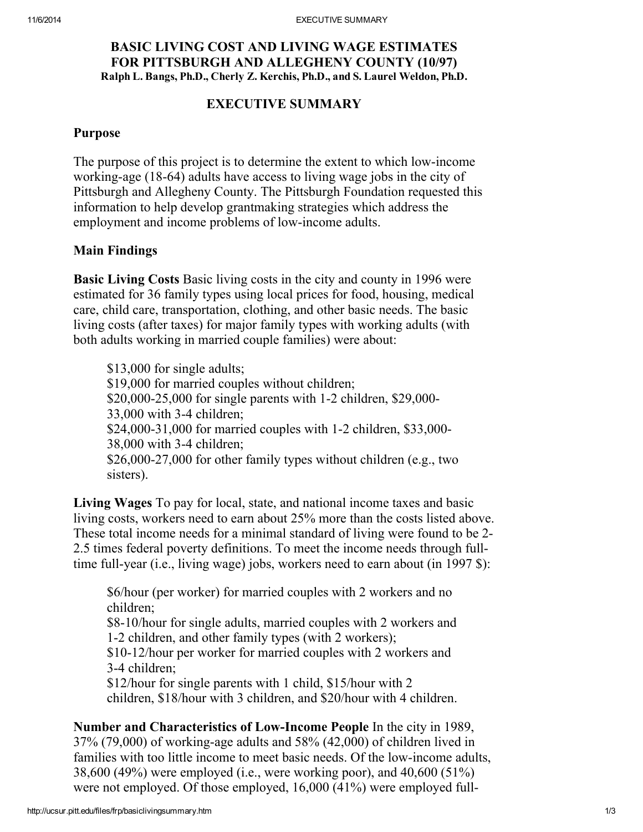## BASIC LIVING COST AND LIVING WAGE ESTIMATES FOR PITTSBURGH AND ALLEGHENY COUNTY (10/97) Ralph L. Bangs, Ph.D., Cherly Z. Kerchis, Ph.D., and S. Laurel Weldon, Ph.D.

### EXECUTIVE SUMMARY

#### Purpose

The purpose of this project is to determine the extent to which low-income working-age (18-64) adults have access to living wage jobs in the city of Pittsburgh and Allegheny County. The Pittsburgh Foundation requested this information to help develop grantmaking strategies which address the employment and income problems of low-income adults.

## Main Findings

Basic Living Costs Basic living costs in the city and county in 1996 were estimated for 36 family types using local prices for food, housing, medical care, child care, transportation, clothing, and other basic needs. The basic living costs (after taxes) for major family types with working adults (with both adults working in married couple families) were about:

\$13,000 for single adults; \$19,000 for married couples without children; \$20,000-25,000 for single parents with 1-2 children, \$29,000- 33,000 with 3-4 children; \$24,000-31,000 for married couples with 1-2 children, \$33,000- 38,000 with 3-4 children; \$26,000-27,000 for other family types without children (e.g., two sisters).

Living Wages To pay for local, state, and national income taxes and basic living costs, workers need to earn about 25% more than the costs listed above. These total income needs for a minimal standard of living were found to be 2- 2.5 times federal poverty definitions. To meet the income needs through fulltime full-year (i.e., living wage) jobs, workers need to earn about (in 1997 \$):

\$6/hour (per worker) for married couples with 2 workers and no children; \$8-10/hour for single adults, married couples with 2 workers and

1-2 children, and other family types (with 2 workers);

\$10-12/hour per worker for married couples with 2 workers and 3-4 children;

\$12/hour for single parents with 1 child, \$15/hour with 2 children, \$18/hour with 3 children, and \$20/hour with 4 children.

Number and Characteristics of Low-Income People In the city in 1989, 37% (79,000) of working-age adults and 58% (42,000) of children lived in families with too little income to meet basic needs. Of the low-income adults, 38,600 (49%) were employed (i.e., were working poor), and 40,600 (51%) were not employed. Of those employed, 16,000 (41%) were employed full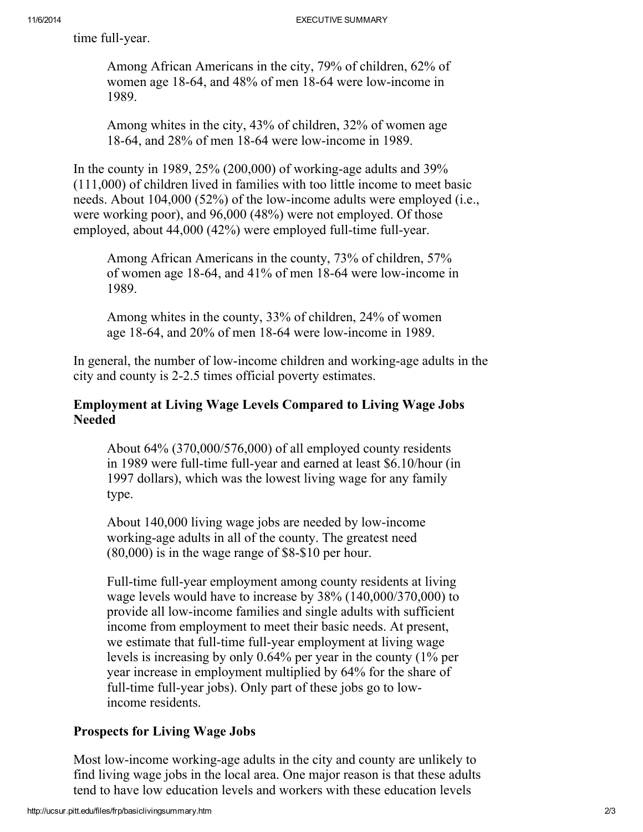time full-year.

Among African Americans in the city, 79% of children, 62% of women age 18-64, and 48% of men 18-64 were low-income in 1989.

Among whites in the city, 43% of children, 32% of women age 18-64, and 28% of men 18-64 were low-income in 1989.

In the county in 1989, 25% (200,000) of working-age adults and 39% (111,000) of children lived in families with too little income to meet basic needs. About 104,000 (52%) of the low-income adults were employed (i.e., were working poor), and 96,000 (48%) were not employed. Of those employed, about 44,000 (42%) were employed full-time full-year.

Among African Americans in the county, 73% of children, 57% of women age 18-64, and 41% of men 18-64 were low-income in 1989.

Among whites in the county, 33% of children, 24% of women age 18-64, and 20% of men 18-64 were low-income in 1989.

In general, the number of low-income children and working-age adults in the city and county is 2-2.5 times official poverty estimates.

## Employment at Living Wage Levels Compared to Living Wage Jobs Needed

About 64% (370,000/576,000) of all employed county residents in 1989 were full-time full-year and earned at least \$6.10/hour (in 1997 dollars), which was the lowest living wage for any family type.

About 140,000 living wage jobs are needed by low-income working-age adults in all of the county. The greatest need (80,000) is in the wage range of \$8-\$10 per hour.

Full-time full-year employment among county residents at living wage levels would have to increase by 38% (140,000/370,000) to provide all low-income families and single adults with sufficient income from employment to meet their basic needs. At present, we estimate that full-time full-year employment at living wage levels is increasing by only 0.64% per year in the county (1% per year increase in employment multiplied by 64% for the share of full-time full-year jobs). Only part of these jobs go to lowincome residents.

# Prospects for Living Wage Jobs

Most low-income working-age adults in the city and county are unlikely to find living wage jobs in the local area. One major reason is that these adults tend to have low education levels and workers with these education levels